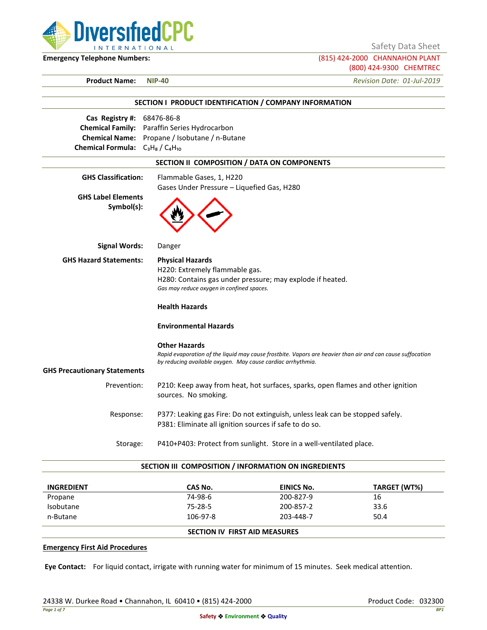

Safety Data Sheet

**Emergency Telephone Numbers:** (815) 424-2000 CHANNAHON PLANT (800) 424-9300 CHEMTREC

**Product Name: NIP-40** *Revision Date: 01-Jul-2019*

|                                                                                                             | SECTION I PRODUCT IDENTIFICATION / COMPANY INFORMATION                                                                                                                                            |
|-------------------------------------------------------------------------------------------------------------|---------------------------------------------------------------------------------------------------------------------------------------------------------------------------------------------------|
| Cas Registry #:<br><b>Chemical Family:</b><br><b>Chemical Name:</b><br>Chemical Formula: $C_3H_8/C_4H_{10}$ | 68476-86-8<br>Paraffin Series Hydrocarbon<br>Propane / Isobutane / n-Butane                                                                                                                       |
|                                                                                                             | SECTION II COMPOSITION / DATA ON COMPONENTS                                                                                                                                                       |
| <b>GHS Classification:</b>                                                                                  | Flammable Gases, 1, H220<br>Gases Under Pressure - Liquefied Gas, H280                                                                                                                            |
| <b>GHS Label Elements</b><br>Symbol(s):                                                                     |                                                                                                                                                                                                   |
| <b>Signal Words:</b>                                                                                        | Danger                                                                                                                                                                                            |
| <b>GHS Hazard Statements:</b>                                                                               | <b>Physical Hazards</b><br>H220: Extremely flammable gas.<br>H280: Contains gas under pressure; may explode if heated.<br>Gas may reduce oxygen in confined spaces.                               |
|                                                                                                             | <b>Health Hazards</b>                                                                                                                                                                             |
|                                                                                                             | <b>Environmental Hazards</b>                                                                                                                                                                      |
|                                                                                                             | <b>Other Hazards</b><br>Rapid evaporation of the liquid may cause frostbite. Vapors are heavier than air and can cause suffocation<br>by reducing available oxygen. May cause cardiac arrhythmia. |
| <b>GHS Precautionary Statements</b>                                                                         |                                                                                                                                                                                                   |
| Prevention:                                                                                                 | P210: Keep away from heat, hot surfaces, sparks, open flames and other ignition<br>sources. No smoking.                                                                                           |
| Response:                                                                                                   | P377: Leaking gas Fire: Do not extinguish, unless leak can be stopped safely.<br>P381: Eliminate all ignition sources if safe to do so.                                                           |
| Storage:                                                                                                    | P410+P403: Protect from sunlight. Store in a well-ventilated place.                                                                                                                               |

### **SECTION III COMPOSITION / INFORMATION ON INGREDIENTS**

| <b>INGREDIENT</b> | CAS No.                              | EINICS No. | TARGET (WT%) |
|-------------------|--------------------------------------|------------|--------------|
| Propane           | 74-98-6                              | 200-827-9  | 16           |
| Isobutane         | 75-28-5                              | 200-857-2  | 33.6         |
| n-Butane          | 106-97-8                             | 203-448-7  | 50.4         |
|                   | <b>SECTION IV FIRST AID MEASURES</b> |            |              |

#### **Emergency First Aid Procedures**

**Eye Contact:** For liquid contact, irrigate with running water for minimum of 15 minutes. Seek medical attention.

24338 W. Durkee Road • Channahon, IL 60410 • (815) 424-2000 Product Code: 032300 Product Code: 032300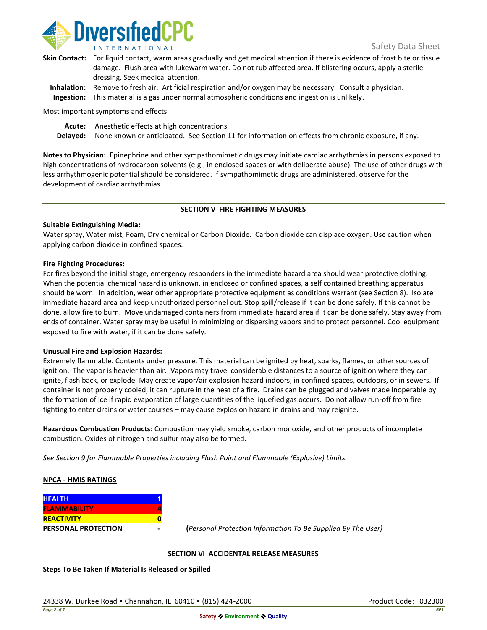

| Skin Contact: For liquid contact, warm areas gradually and get medical attention if there is evidence of frost bite or tissue |
|-------------------------------------------------------------------------------------------------------------------------------|
| damage. Flush area with lukewarm water. Do not rub affected area. If blistering occurs, apply a sterile                       |
| dressing. Seek medical attention.                                                                                             |
|                                                                                                                               |

**Inhalation:** Remove to fresh air. Artificial respiration and/or oxygen may be necessary. Consult a physician. **Ingestion:** This material is a gas under normal atmospheric conditions and ingestion is unlikely.

Most important symptoms and effects

**Acute:** Anesthetic effects at high concentrations.

**Delayed:** None known or anticipated. See Section 11 for information on effects from chronic exposure, if any.

**Notes to Physician:** Epinephrine and other sympathomimetic drugs may initiate cardiac arrhythmias in persons exposed to high concentrations of hydrocarbon solvents (e.g., in enclosed spaces or with deliberate abuse). The use of other drugs with less arrhythmogenic potential should be considered. If sympathomimetic drugs are administered, observe for the development of cardiac arrhythmias.

### **SECTION V FIRE FIGHTING MEASURES**

### **Suitable Extinguishing Media:**

Water spray, Water mist, Foam, Dry chemical or Carbon Dioxide. Carbon dioxide can displace oxygen. Use caution when applying carbon dioxide in confined spaces.

### **Fire Fighting Procedures:**

For fires beyond the initial stage, emergency responders in the immediate hazard area should wear protective clothing. When the potential chemical hazard is unknown, in enclosed or confined spaces, a self contained breathing apparatus should be worn. In addition, wear other appropriate protective equipment as conditions warrant (see Section 8). Isolate immediate hazard area and keep unauthorized personnel out. Stop spill/release if it can be done safely. If this cannot be done, allow fire to burn. Move undamaged containers from immediate hazard area if it can be done safely. Stay away from ends of container. Water spray may be useful in minimizing or dispersing vapors and to protect personnel. Cool equipment exposed to fire with water, if it can be done safely.

### **Unusual Fire and Explosion Hazards:**

Extremely flammable. Contents under pressure. This material can be ignited by heat, sparks, flames, or other sources of ignition. The vapor is heavier than air. Vapors may travel considerable distances to a source of ignition where they can ignite, flash back, or explode. May create vapor/air explosion hazard indoors, in confined spaces, outdoors, or in sewers. If container is not properly cooled, it can rupture in the heat of a fire. Drains can be plugged and valves made inoperable by the formation of ice if rapid evaporation of large quantities of the liquefied gas occurs. Do not allow run-off from fire fighting to enter drains or water courses – may cause explosion hazard in drains and may reignite.

**Hazardous Combustion Products**: Combustion may yield smoke, carbon monoxide, and other products of incomplete combustion. Oxides of nitrogen and sulfur may also be formed.

*See Section 9 for Flammable Properties including Flash Point and Flammable (Explosive) Limits.*

### **NPCA - HMIS RATINGS**

| <b>HEALTH</b>              |  |
|----------------------------|--|
| <b>FLAMMABILITY</b>        |  |
| <b>REACTIVITY</b>          |  |
| <b>PERSONAL PROTECTION</b> |  |

**PERSONAL PROTECTION - (***Personal Protection Information To Be Supplied By The User)*

### **SECTION VI ACCIDENTAL RELEASE MEASURES**

**Steps To Be Taken If Material Is Released or Spilled**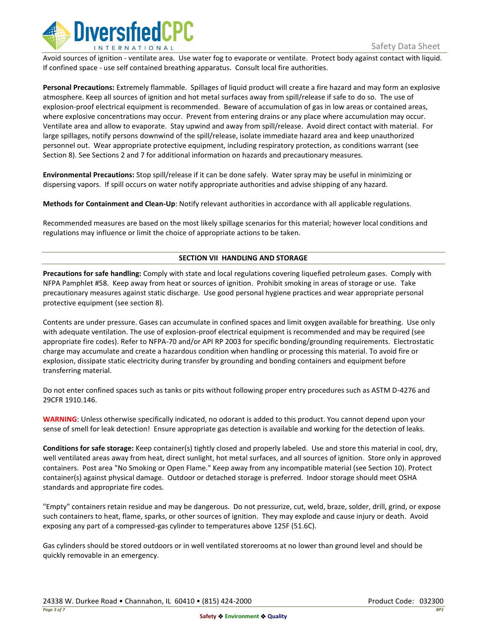

Avoid sources of ignition - ventilate area. Use water fog to evaporate or ventilate. Protect body against contact with liquid. If confined space - use self contained breathing apparatus. Consult local fire authorities.

**Personal Precautions:** Extremely flammable. Spillages of liquid product will create a fire hazard and may form an explosive atmosphere. Keep all sources of ignition and hot metal surfaces away from spill/release if safe to do so. The use of explosion-proof electrical equipment is recommended. Beware of accumulation of gas in low areas or contained areas, where explosive concentrations may occur. Prevent from entering drains or any place where accumulation may occur. Ventilate area and allow to evaporate. Stay upwind and away from spill/release. Avoid direct contact with material. For large spillages, notify persons downwind of the spill/release, isolate immediate hazard area and keep unauthorized personnel out. Wear appropriate protective equipment, including respiratory protection, as conditions warrant (see Section 8). See Sections 2 and 7 for additional information on hazards and precautionary measures.

**Environmental Precautions:** Stop spill/release if it can be done safely. Water spray may be useful in minimizing or dispersing vapors. If spill occurs on water notify appropriate authorities and advise shipping of any hazard.

**Methods for Containment and Clean-Up**: Notify relevant authorities in accordance with all applicable regulations.

Recommended measures are based on the most likely spillage scenarios for this material; however local conditions and regulations may influence or limit the choice of appropriate actions to be taken.

# **SECTION VII HANDLING AND STORAGE**

**Precautions for safe handling:** Comply with state and local regulations covering liquefied petroleum gases. Comply with NFPA Pamphlet #58. Keep away from heat or sources of ignition. Prohibit smoking in areas of storage or use. Take precautionary measures against static discharge. Use good personal hygiene practices and wear appropriate personal protective equipment (see section 8).

Contents are under pressure. Gases can accumulate in confined spaces and limit oxygen available for breathing. Use only with adequate ventilation. The use of explosion-proof electrical equipment is recommended and may be required (see appropriate fire codes). Refer to NFPA-70 and/or API RP 2003 for specific bonding/grounding requirements. Electrostatic charge may accumulate and create a hazardous condition when handling or processing this material. To avoid fire or explosion, dissipate static electricity during transfer by grounding and bonding containers and equipment before transferring material.

Do not enter confined spaces such as tanks or pits without following proper entry procedures such as ASTM D-4276 and 29CFR 1910.146.

**WARNING**: Unless otherwise specifically indicated, no odorant is added to this product. You cannot depend upon your sense of smell for leak detection! Ensure appropriate gas detection is available and working for the detection of leaks.

**Conditions for safe storage:** Keep container(s) tightly closed and properly labeled. Use and store this material in cool, dry, well ventilated areas away from heat, direct sunlight, hot metal surfaces, and all sources of ignition. Store only in approved containers. Post area "No Smoking or Open Flame." Keep away from any incompatible material (see Section 10). Protect container(s) against physical damage. Outdoor or detached storage is preferred. Indoor storage should meet OSHA standards and appropriate fire codes.

"Empty" containers retain residue and may be dangerous. Do not pressurize, cut, weld, braze, solder, drill, grind, or expose such containers to heat, flame, sparks, or other sources of ignition. They may explode and cause injury or death. Avoid exposing any part of a compressed-gas cylinder to temperatures above 125F (51.6C).

Gas cylinders should be stored outdoors or in well ventilated storerooms at no lower than ground level and should be quickly removable in an emergency.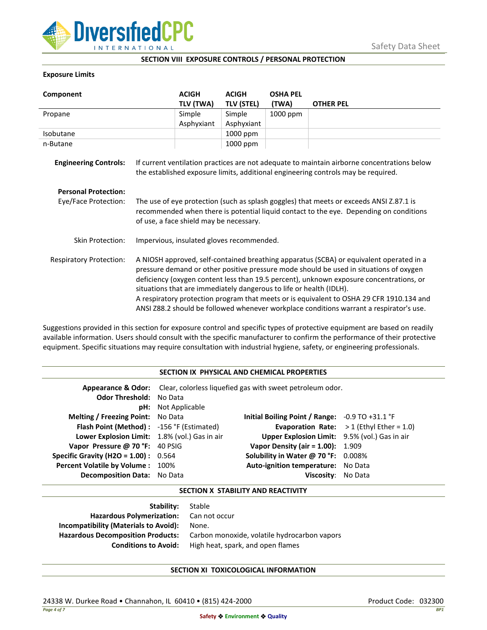

### **SECTION VIII EXPOSURE CONTROLS / PERSONAL PROTECTION**

## **Exposure Limits**

| Component                      |                                                                                                                                                                                                                                                                                                                                                                                                                                                                                                                                            | <b>ACIGH</b> | <b>ACIGH</b>      | <b>OSHA PEL</b> |                                                                                                                                                                                  |
|--------------------------------|--------------------------------------------------------------------------------------------------------------------------------------------------------------------------------------------------------------------------------------------------------------------------------------------------------------------------------------------------------------------------------------------------------------------------------------------------------------------------------------------------------------------------------------------|--------------|-------------------|-----------------|----------------------------------------------------------------------------------------------------------------------------------------------------------------------------------|
|                                |                                                                                                                                                                                                                                                                                                                                                                                                                                                                                                                                            | TLV (TWA)    | <b>TLV (STEL)</b> | (TWA)           | <b>OTHER PEL</b>                                                                                                                                                                 |
| Propane                        |                                                                                                                                                                                                                                                                                                                                                                                                                                                                                                                                            | Simple       | Simple            | 1000 ppm        |                                                                                                                                                                                  |
|                                |                                                                                                                                                                                                                                                                                                                                                                                                                                                                                                                                            | Asphyxiant   | Asphyxiant        |                 |                                                                                                                                                                                  |
| Isobutane                      |                                                                                                                                                                                                                                                                                                                                                                                                                                                                                                                                            |              | 1000 ppm          |                 |                                                                                                                                                                                  |
| n-Butane                       |                                                                                                                                                                                                                                                                                                                                                                                                                                                                                                                                            |              | 1000 ppm          |                 |                                                                                                                                                                                  |
| <b>Engineering Controls:</b>   |                                                                                                                                                                                                                                                                                                                                                                                                                                                                                                                                            |              |                   |                 | If current ventilation practices are not adequate to maintain airborne concentrations below<br>the established exposure limits, additional engineering controls may be required. |
| <b>Personal Protection:</b>    |                                                                                                                                                                                                                                                                                                                                                                                                                                                                                                                                            |              |                   |                 |                                                                                                                                                                                  |
| Eye/Face Protection:           | The use of eye protection (such as splash goggles) that meets or exceeds ANSI Z.87.1 is<br>recommended when there is potential liquid contact to the eye. Depending on conditions<br>of use, a face shield may be necessary.                                                                                                                                                                                                                                                                                                               |              |                   |                 |                                                                                                                                                                                  |
| <b>Skin Protection:</b>        | Impervious, insulated gloves recommended.                                                                                                                                                                                                                                                                                                                                                                                                                                                                                                  |              |                   |                 |                                                                                                                                                                                  |
| <b>Respiratory Protection:</b> | A NIOSH approved, self-contained breathing apparatus (SCBA) or equivalent operated in a<br>pressure demand or other positive pressure mode should be used in situations of oxygen<br>deficiency (oxygen content less than 19.5 percent), unknown exposure concentrations, or<br>situations that are immediately dangerous to life or health (IDLH).<br>A respiratory protection program that meets or is equivalent to OSHA 29 CFR 1910.134 and<br>ANSI Z88.2 should be followed whenever workplace conditions warrant a respirator's use. |              |                   |                 |                                                                                                                                                                                  |

Suggestions provided in this section for exposure control and specific types of protective equipment are based on readily available information. Users should consult with the specific manufacturer to confirm the performance of their protective equipment. Specific situations may require consultation with industrial hygiene, safety, or engineering professionals.

### **SECTION IX PHYSICAL AND CHEMICAL PROPERTIES**

| <b>Odor Threshold: No Data</b>                | <b>pH:</b> Not Applicable | <b>Appearance &amp; Odor:</b> Clear, colorless liquefied gas with sweet petroleum odor. |                                                   |
|-----------------------------------------------|---------------------------|-----------------------------------------------------------------------------------------|---------------------------------------------------|
| <b>Melting / Freezing Point:</b> No Data      |                           | Initial Boiling Point / Range: $-0.9$ TO $+31.1$ °F                                     |                                                   |
| Flash Point (Method): -156 °F (Estimated)     |                           |                                                                                         | <b>Evaporation Rate:</b> $>1$ (Ethyl Ether = 1.0) |
| Lower Explosion Limit: 1.8% (vol.) Gas in air |                           | Upper Explosion Limit: 9.5% (vol.) Gas in air                                           |                                                   |
| Vapor Pressure @ 70 °F: 40 PSIG               |                           | <b>Vapor Density (air = 1.00):</b> 1.909                                                |                                                   |
| <b>Specific Gravity (H2O = 1.00):</b> $0.564$ |                           | Solubility in Water @ 70 °F: 0.008%                                                     |                                                   |
| Percent Volatile by Volume: 100%              |                           | Auto-ignition temperature: No Data                                                      |                                                   |
| <b>Decomposition Data:</b> No Data            |                           | Viscosity: No Data                                                                      |                                                   |

## **SECTION X STABILITY AND REACTIVITY**

| Stable                                       |
|----------------------------------------------|
| Hazardous Polymerization: Can not occur      |
| None.                                        |
| Carbon monoxide, volatile hydrocarbon vapors |
| High heat, spark, and open flames            |
|                                              |

# **SECTION XI TOXICOLOGICAL INFORMATION**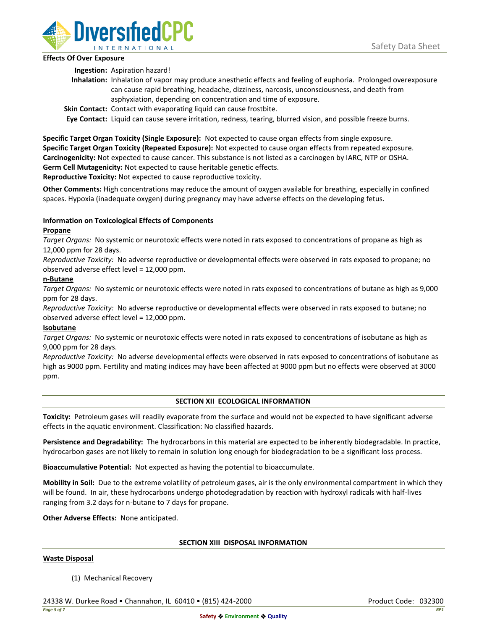

# **Effects Of Over Exposure**

**Ingestion:** Aspiration hazard!

- **Inhalation:** Inhalation of vapor may produce anesthetic effects and feeling of euphoria. Prolonged overexposure can cause rapid breathing, headache, dizziness, narcosis, unconsciousness, and death from asphyxiation, depending on concentration and time of exposure.
- **Skin Contact:** Contact with evaporating liquid can cause frostbite.

**Eye Contact:** Liquid can cause severe irritation, redness, tearing, blurred vision, and possible freeze burns.

**Specific Target Organ Toxicity (Single Exposure):** Not expected to cause organ effects from single exposure. **Specific Target Organ Toxicity (Repeated Exposure):** Not expected to cause organ effects from repeated exposure. **Carcinogenicity:** Not expected to cause cancer. This substance is not listed as a carcinogen by IARC, NTP or OSHA. **Germ Cell Mutagenicity:** Not expected to cause heritable genetic effects.

**Reproductive Toxicity:** Not expected to cause reproductive toxicity.

**Other Comments:** High concentrations may reduce the amount of oxygen available for breathing, especially in confined spaces. Hypoxia (inadequate oxygen) during pregnancy may have adverse effects on the developing fetus.

# **Information on Toxicological Effects of Components**

# **Propane**

*Target Organs:* No systemic or neurotoxic effects were noted in rats exposed to concentrations of propane as high as 12,000 ppm for 28 days.

*Reproductive Toxicity:* No adverse reproductive or developmental effects were observed in rats exposed to propane; no observed adverse effect level = 12,000 ppm.

# **n-Butane**

*Target Organs:* No systemic or neurotoxic effects were noted in rats exposed to concentrations of butane as high as 9,000 ppm for 28 days.

*Reproductive Toxicity:* No adverse reproductive or developmental effects were observed in rats exposed to butane; no observed adverse effect level = 12,000 ppm.

# **Isobutane**

*Target Organs:* No systemic or neurotoxic effects were noted in rats exposed to concentrations of isobutane as high as 9,000 ppm for 28 days.

*Reproductive Toxicity:* No adverse developmental effects were observed in rats exposed to concentrations of isobutane as high as 9000 ppm. Fertility and mating indices may have been affected at 9000 ppm but no effects were observed at 3000 ppm.

# **SECTION XII ECOLOGICAL INFORMATION**

**Toxicity:** Petroleum gases will readily evaporate from the surface and would not be expected to have significant adverse effects in the aquatic environment. Classification: No classified hazards.

**Persistence and Degradability:** The hydrocarbons in this material are expected to be inherently biodegradable. In practice, hydrocarbon gases are not likely to remain in solution long enough for biodegradation to be a significant loss process.

**Bioaccumulative Potential:** Not expected as having the potential to bioaccumulate.

**Mobility in Soil:** Due to the extreme volatility of petroleum gases, air is the only environmental compartment in which they will be found. In air, these hydrocarbons undergo photodegradation by reaction with hydroxyl radicals with half-lives ranging from 3.2 days for n-butane to 7 days for propane.

**Other Adverse Effects:** None anticipated.

### **SECTION XIII DISPOSAL INFORMATION**

### **Waste Disposal**

(1) Mechanical Recovery

24338 W. Durkee Road • Channahon, IL 60410 • (815) 424-2000 Product Code: 032300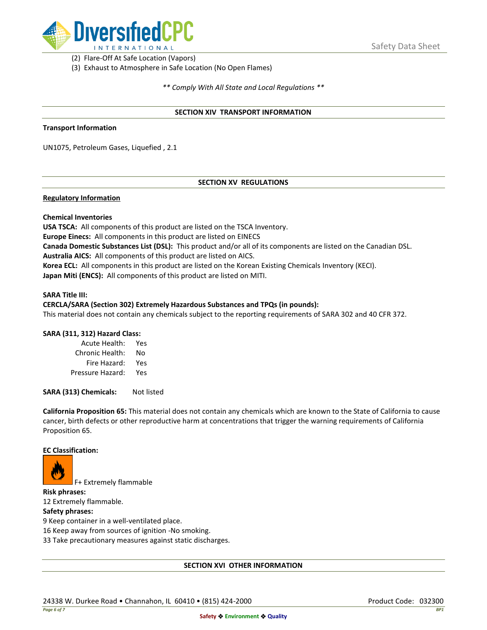

(2) Flare-Off At Safe Location (Vapors)

(3) Exhaust to Atmosphere in Safe Location (No Open Flames)

*\*\* Comply With All State and Local Regulations \*\**

### **SECTION XIV TRANSPORT INFORMATION**

### **Transport Information**

UN1075, Petroleum Gases, Liquefied , 2.1

# **SECTION XV REGULATIONS**

## **Regulatory Information**

### **Chemical Inventories**

**USA TSCA:** All components of this product are listed on the TSCA Inventory. **Europe Einecs:** All components in this product are listed on EINECS **Canada Domestic Substances List (DSL):** This product and/or all of its components are listed on the Canadian DSL. **Australia AICS:** All components of this product are listed on AICS. **Korea ECL:** All components in this product are listed on the Korean Existing Chemicals Inventory (KECI). **Japan Miti (ENCS):** All components of this product are listed on MITI.

#### **SARA Title III:**

### **CERCLA/SARA (Section 302) Extremely Hazardous Substances and TPQs (in pounds):**

This material does not contain any chemicals subject to the reporting requirements of SARA 302 and 40 CFR 372.

### **SARA (311, 312) Hazard Class:**

| Acute Health:    | Yes |
|------------------|-----|
| Chronic Health:  | No  |
| Fire Hazard:     | Yes |
| Pressure Hazard: | Yes |

**SARA (313) Chemicals:** Not listed

**California Proposition 65:** This material does not contain any chemicals which are known to the State of California to cause cancer, birth defects or other reproductive harm at concentrations that trigger the warning requirements of California Proposition 65.

### **EC Classification:**



F+ Extremely flammable

**Risk phrases:** 12 Extremely flammable.

## **Safety phrases:**

9 Keep container in a well-ventilated place.

16 Keep away from sources of ignition -No smoking.

33 Take precautionary measures against static discharges.

### **SECTION XVI OTHER INFORMATION**